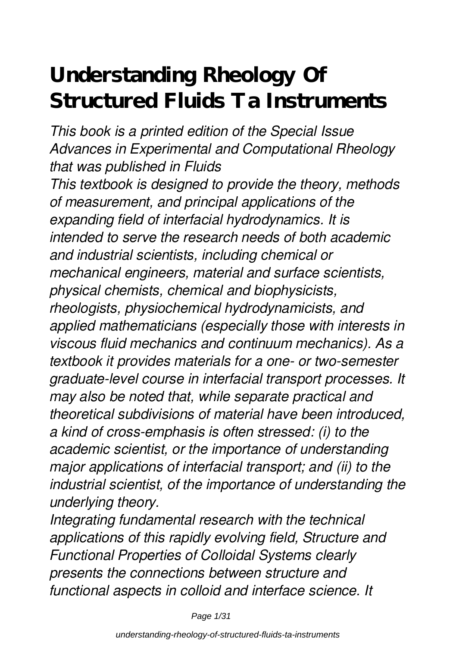## **Understanding Rheology Of Structured Fluids Ta Instruments**

*This book is a printed edition of the Special Issue Advances in Experimental and Computational Rheology that was published in Fluids This textbook is designed to provide the theory, methods of measurement, and principal applications of the expanding field of interfacial hydrodynamics. It is intended to serve the research needs of both academic and industrial scientists, including chemical or mechanical engineers, material and surface scientists, physical chemists, chemical and biophysicists, rheologists, physiochemical hydrodynamicists, and applied mathematicians (especially those with interests in viscous fluid mechanics and continuum mechanics). As a textbook it provides materials for a one- or two-semester graduate-level course in interfacial transport processes. It may also be noted that, while separate practical and theoretical subdivisions of material have been introduced, a kind of cross-emphasis is often stressed: (i) to the academic scientist, or the importance of understanding major applications of interfacial transport; and (ii) to the industrial scientist, of the importance of understanding the underlying theory.*

*Integrating fundamental research with the technical applications of this rapidly evolving field, Structure and Functional Properties of Colloidal Systems clearly presents the connections between structure and functional aspects in colloid and interface science. It*

Page 1/31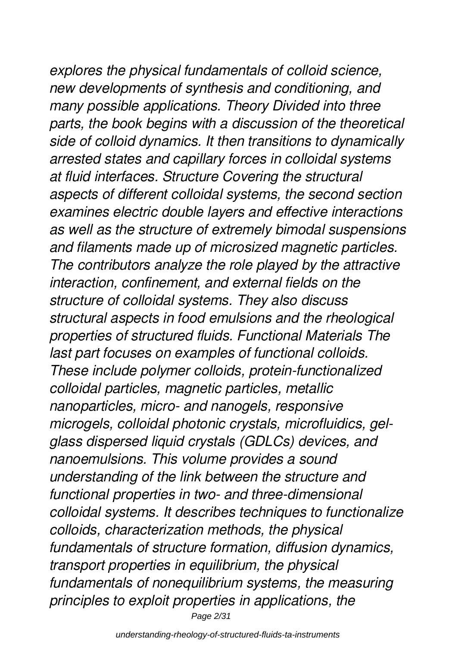*explores the physical fundamentals of colloid science, new developments of synthesis and conditioning, and many possible applications. Theory Divided into three parts, the book begins with a discussion of the theoretical side of colloid dynamics. It then transitions to dynamically arrested states and capillary forces in colloidal systems at fluid interfaces. Structure Covering the structural aspects of different colloidal systems, the second section examines electric double layers and effective interactions as well as the structure of extremely bimodal suspensions and filaments made up of microsized magnetic particles. The contributors analyze the role played by the attractive interaction, confinement, and external fields on the structure of colloidal systems. They also discuss structural aspects in food emulsions and the rheological properties of structured fluids. Functional Materials The last part focuses on examples of functional colloids. These include polymer colloids, protein-functionalized colloidal particles, magnetic particles, metallic nanoparticles, micro- and nanogels, responsive microgels, colloidal photonic crystals, microfluidics, gelglass dispersed liquid crystals (GDLCs) devices, and nanoemulsions. This volume provides a sound understanding of the link between the structure and functional properties in two- and three-dimensional colloidal systems. It describes techniques to functionalize colloids, characterization methods, the physical fundamentals of structure formation, diffusion dynamics, transport properties in equilibrium, the physical fundamentals of nonequilibrium systems, the measuring principles to exploit properties in applications, the*

Page 2/31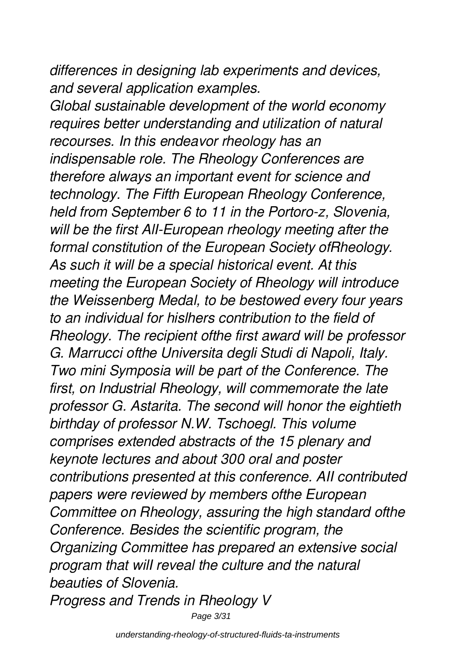*differences in designing lab experiments and devices, and several application examples.*

*Global sustainable development of the world economy requires better understanding and utilization of natural recourses. In this endeavor rheology has an indispensable role. The Rheology Conferences are therefore always an important event for science and technology. The Fifth European Rheology Conference, held from September 6 to 11 in the Portoro-z, Slovenia, will be the first AlI-European rheology meeting after the formal constitution of the European Society ofRheology. As such it will be a special historical event. At this meeting the European Society of Rheology will introduce the Weissenberg Medal, to be bestowed every four years to an individual for hislhers contribution to the field of Rheology. The recipient ofthe first award will be professor G. Marrucci ofthe Universita degli Studi di Napoli, Italy. Two mini Symposia will be part of the Conference. The first, on Industrial Rheology, will commemorate the late professor G. Astarita. The second will honor the eightieth birthday of professor N.W. Tschoegl. This volume comprises extended abstracts of the 15 plenary and keynote lectures and about 300 oral and poster contributions presented at this conference. AII contributed papers were reviewed by members ofthe European Committee on Rheology, assuring the high standard ofthe Conference. Besides the scientific program, the Organizing Committee has prepared an extensive social program that wilI reveal the culture and the natural beauties of Slovenia.*

*Progress and Trends in Rheology V*

Page 3/31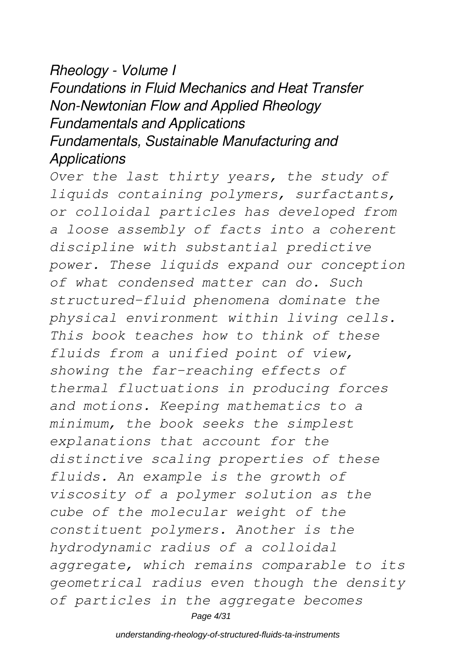#### *Rheology - Volume I Foundations in Fluid Mechanics and Heat Transfer Non-Newtonian Flow and Applied Rheology Fundamentals and Applications Fundamentals, Sustainable Manufacturing and Applications*

*Over the last thirty years, the study of liquids containing polymers, surfactants, or colloidal particles has developed from a loose assembly of facts into a coherent discipline with substantial predictive power. These liquids expand our conception of what condensed matter can do. Such structured-fluid phenomena dominate the physical environment within living cells. This book teaches how to think of these fluids from a unified point of view, showing the far-reaching effects of thermal fluctuations in producing forces and motions. Keeping mathematics to a minimum, the book seeks the simplest explanations that account for the distinctive scaling properties of these fluids. An example is the growth of viscosity of a polymer solution as the cube of the molecular weight of the constituent polymers. Another is the hydrodynamic radius of a colloidal aggregate, which remains comparable to its geometrical radius even though the density of particles in the aggregate becomes* Page 4/31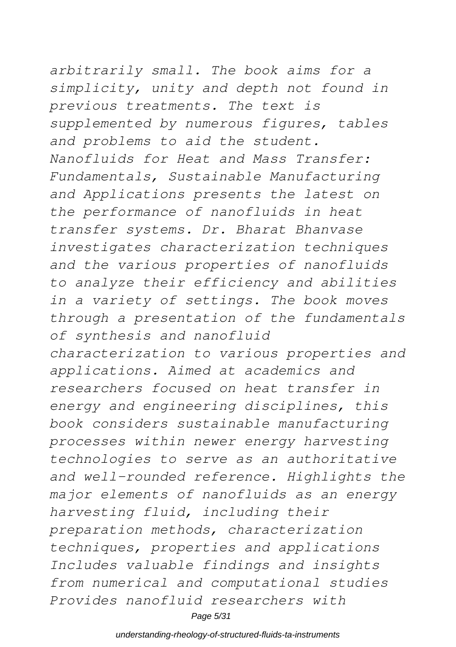*arbitrarily small. The book aims for a simplicity, unity and depth not found in previous treatments. The text is supplemented by numerous figures, tables and problems to aid the student. Nanofluids for Heat and Mass Transfer: Fundamentals, Sustainable Manufacturing and Applications presents the latest on the performance of nanofluids in heat transfer systems. Dr. Bharat Bhanvase investigates characterization techniques and the various properties of nanofluids to analyze their efficiency and abilities in a variety of settings. The book moves through a presentation of the fundamentals of synthesis and nanofluid characterization to various properties and applications. Aimed at academics and researchers focused on heat transfer in energy and engineering disciplines, this book considers sustainable manufacturing processes within newer energy harvesting technologies to serve as an authoritative and well-rounded reference. Highlights the major elements of nanofluids as an energy harvesting fluid, including their preparation methods, characterization techniques, properties and applications Includes valuable findings and insights from numerical and computational studies Provides nanofluid researchers with*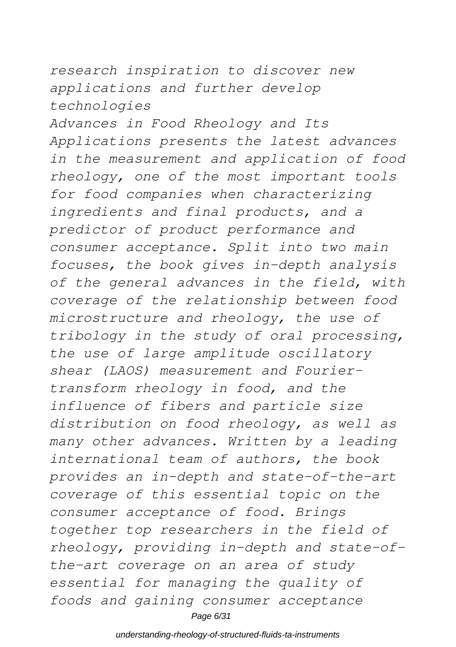#### *research inspiration to discover new applications and further develop technologies*

*Advances in Food Rheology and Its Applications presents the latest advances in the measurement and application of food rheology, one of the most important tools for food companies when characterizing ingredients and final products, and a predictor of product performance and consumer acceptance. Split into two main focuses, the book gives in-depth analysis of the general advances in the field, with coverage of the relationship between food microstructure and rheology, the use of tribology in the study of oral processing, the use of large amplitude oscillatory shear (LAOS) measurement and Fouriertransform rheology in food, and the influence of fibers and particle size distribution on food rheology, as well as many other advances. Written by a leading international team of authors, the book provides an in-depth and state-of-the-art coverage of this essential topic on the consumer acceptance of food. Brings together top researchers in the field of rheology, providing in-depth and state-ofthe-art coverage on an area of study essential for managing the quality of foods and gaining consumer acceptance* Page 6/31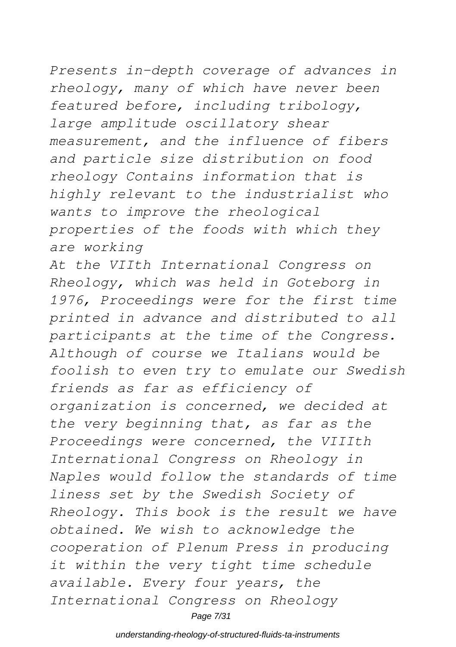### *Presents in-depth coverage of advances in rheology, many of which have never been featured before, including tribology, large amplitude oscillatory shear measurement, and the influence of fibers and particle size distribution on food rheology Contains information that is highly relevant to the industrialist who wants to improve the rheological*

*properties of the foods with which they are working*

*At the VIIth International Congress on Rheology, which was held in Goteborg in 1976, Proceedings were for the first time printed in advance and distributed to all participants at the time of the Congress. Although of course we Italians would be foolish to even try to emulate our Swedish friends as far as efficiency of organization is concerned, we decided at the very beginning that, as far as the Proceedings were concerned, the VIIIth International Congress on Rheology in Naples would follow the standards of time liness set by the Swedish Society of Rheology. This book is the result we have obtained. We wish to acknowledge the cooperation of Plenum Press in producing it within the very tight time schedule available. Every four years, the International Congress on Rheology* Page 7/31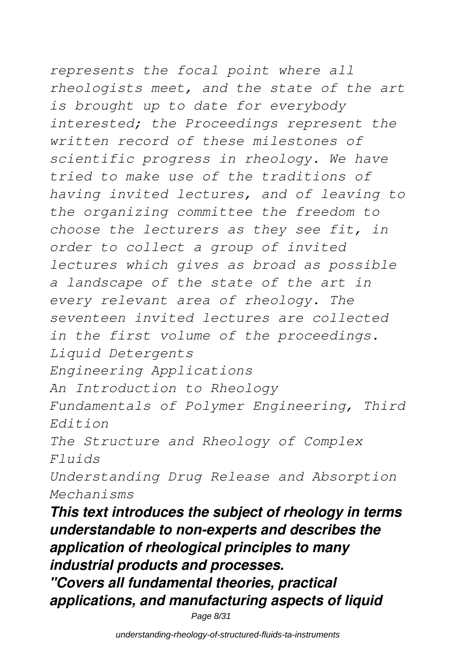# *represents the focal point where all*

*rheologists meet, and the state of the art is brought up to date for everybody interested; the Proceedings represent the written record of these milestones of scientific progress in rheology. We have tried to make use of the traditions of having invited lectures, and of leaving to the organizing committee the freedom to choose the lecturers as they see fit, in order to collect a group of invited lectures which gives as broad as possible a landscape of the state of the art in every relevant area of rheology. The seventeen invited lectures are collected in the first volume of the proceedings. Liquid Detergents Engineering Applications An Introduction to Rheology Fundamentals of Polymer Engineering, Third Edition The Structure and Rheology of Complex Fluids Understanding Drug Release and Absorption Mechanisms*

*This text introduces the subject of rheology in terms understandable to non-experts and describes the application of rheological principles to many industrial products and processes.*

*"Covers all fundamental theories, practical applications, and manufacturing aspects of liquid*

Page 8/31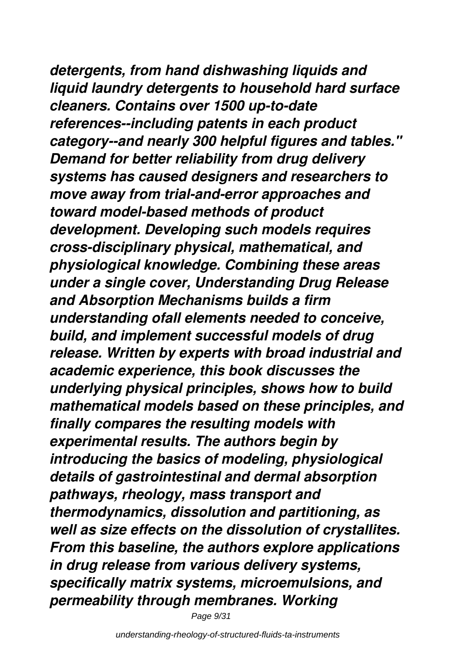*detergents, from hand dishwashing liquids and liquid laundry detergents to household hard surface cleaners. Contains over 1500 up-to-date references--including patents in each product category--and nearly 300 helpful figures and tables." Demand for better reliability from drug delivery systems has caused designers and researchers to move away from trial-and-error approaches and toward model-based methods of product development. Developing such models requires cross-disciplinary physical, mathematical, and physiological knowledge. Combining these areas under a single cover, Understanding Drug Release and Absorption Mechanisms builds a firm understanding ofall elements needed to conceive, build, and implement successful models of drug release. Written by experts with broad industrial and academic experience, this book discusses the underlying physical principles, shows how to build mathematical models based on these principles, and finally compares the resulting models with experimental results. The authors begin by introducing the basics of modeling, physiological details of gastrointestinal and dermal absorption pathways, rheology, mass transport and thermodynamics, dissolution and partitioning, as well as size effects on the dissolution of crystallites. From this baseline, the authors explore applications in drug release from various delivery systems, specifically matrix systems, microemulsions, and permeability through membranes. Working*

Page 9/31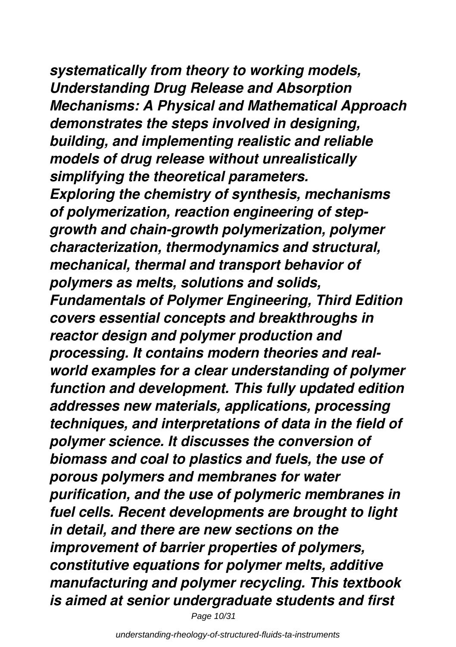*systematically from theory to working models, Understanding Drug Release and Absorption Mechanisms: A Physical and Mathematical Approach demonstrates the steps involved in designing, building, and implementing realistic and reliable models of drug release without unrealistically simplifying the theoretical parameters. Exploring the chemistry of synthesis, mechanisms of polymerization, reaction engineering of stepgrowth and chain-growth polymerization, polymer characterization, thermodynamics and structural, mechanical, thermal and transport behavior of polymers as melts, solutions and solids, Fundamentals of Polymer Engineering, Third Edition covers essential concepts and breakthroughs in reactor design and polymer production and processing. It contains modern theories and realworld examples for a clear understanding of polymer function and development. This fully updated edition addresses new materials, applications, processing techniques, and interpretations of data in the field of polymer science. It discusses the conversion of biomass and coal to plastics and fuels, the use of porous polymers and membranes for water purification, and the use of polymeric membranes in fuel cells. Recent developments are brought to light in detail, and there are new sections on the improvement of barrier properties of polymers, constitutive equations for polymer melts, additive manufacturing and polymer recycling. This textbook is aimed at senior undergraduate students and first*

Page 10/31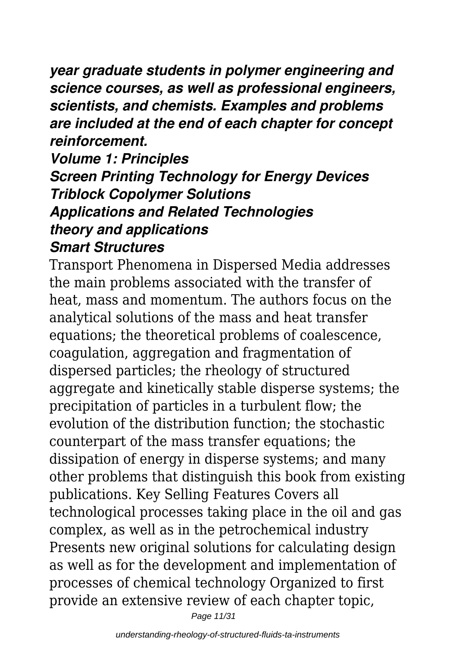*year graduate students in polymer engineering and science courses, as well as professional engineers, scientists, and chemists. Examples and problems are included at the end of each chapter for concept reinforcement.*

#### *Volume 1: Principles Screen Printing Technology for Energy Devices Triblock Copolymer Solutions Applications and Related Technologies theory and applications Smart Structures*

Transport Phenomena in Dispersed Media addresses the main problems associated with the transfer of heat, mass and momentum. The authors focus on the analytical solutions of the mass and heat transfer equations; the theoretical problems of coalescence, coagulation, aggregation and fragmentation of dispersed particles; the rheology of structured aggregate and kinetically stable disperse systems; the precipitation of particles in a turbulent flow; the evolution of the distribution function; the stochastic counterpart of the mass transfer equations; the dissipation of energy in disperse systems; and many other problems that distinguish this book from existing publications. Key Selling Features Covers all technological processes taking place in the oil and gas complex, as well as in the petrochemical industry Presents new original solutions for calculating design as well as for the development and implementation of processes of chemical technology Organized to first provide an extensive review of each chapter topic,

Page 11/31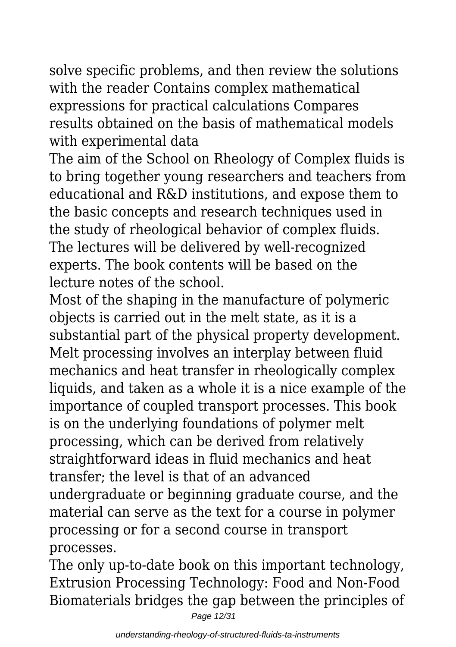solve specific problems, and then review the solutions with the reader Contains complex mathematical expressions for practical calculations Compares results obtained on the basis of mathematical models with experimental data

The aim of the School on Rheology of Complex fluids is to bring together young researchers and teachers from educational and R&D institutions, and expose them to the basic concepts and research techniques used in the study of rheological behavior of complex fluids. The lectures will be delivered by well-recognized experts. The book contents will be based on the lecture notes of the school.

Most of the shaping in the manufacture of polymeric objects is carried out in the melt state, as it is a substantial part of the physical property development. Melt processing involves an interplay between fluid mechanics and heat transfer in rheologically complex liquids, and taken as a whole it is a nice example of the importance of coupled transport processes. This book is on the underlying foundations of polymer melt processing, which can be derived from relatively straightforward ideas in fluid mechanics and heat transfer; the level is that of an advanced undergraduate or beginning graduate course, and the material can serve as the text for a course in polymer processing or for a second course in transport processes.

The only up-to-date book on this important technology, Extrusion Processing Technology: Food and Non-Food Biomaterials bridges the gap between the principles of

Page 12/31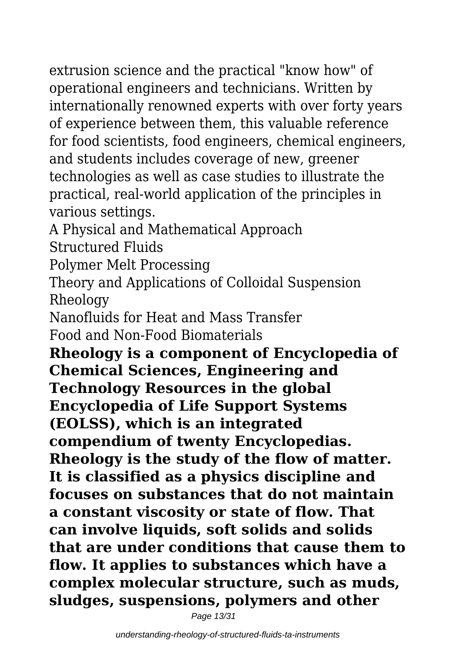extrusion science and the practical "know how" of operational engineers and technicians. Written by internationally renowned experts with over forty years of experience between them, this valuable reference for food scientists, food engineers, chemical engineers, and students includes coverage of new, greener technologies as well as case studies to illustrate the practical, real-world application of the principles in various settings.

A Physical and Mathematical Approach Structured Fluids

Polymer Melt Processing

Theory and Applications of Colloidal Suspension Rheology

Nanofluids for Heat and Mass Transfer

Food and Non-Food Biomaterials

**Rheology is a component of Encyclopedia of Chemical Sciences, Engineering and Technology Resources in the global Encyclopedia of Life Support Systems (EOLSS), which is an integrated compendium of twenty Encyclopedias. Rheology is the study of the flow of matter. It is classified as a physics discipline and focuses on substances that do not maintain a constant viscosity or state of flow. That can involve liquids, soft solids and solids that are under conditions that cause them to flow. It applies to substances which have a complex molecular structure, such as muds, sludges, suspensions, polymers and other**

Page 13/31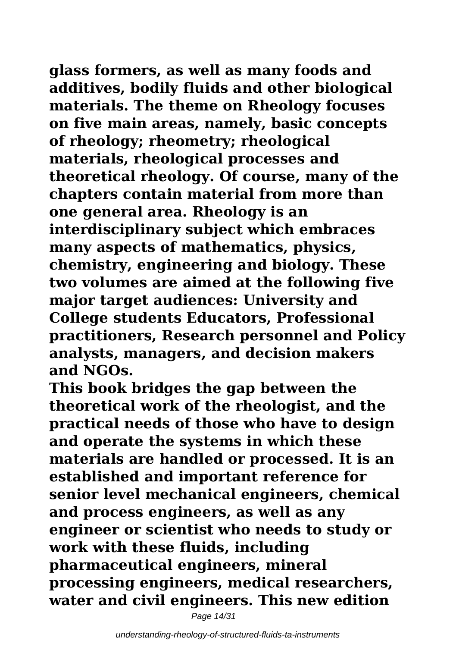**glass formers, as well as many foods and additives, bodily fluids and other biological materials. The theme on Rheology focuses on five main areas, namely, basic concepts of rheology; rheometry; rheological materials, rheological processes and theoretical rheology. Of course, many of the chapters contain material from more than one general area. Rheology is an interdisciplinary subject which embraces many aspects of mathematics, physics, chemistry, engineering and biology. These two volumes are aimed at the following five major target audiences: University and College students Educators, Professional practitioners, Research personnel and Policy analysts, managers, and decision makers and NGOs.**

**This book bridges the gap between the theoretical work of the rheologist, and the practical needs of those who have to design and operate the systems in which these materials are handled or processed. It is an established and important reference for senior level mechanical engineers, chemical and process engineers, as well as any engineer or scientist who needs to study or work with these fluids, including pharmaceutical engineers, mineral processing engineers, medical researchers, water and civil engineers. This new edition**

Page 14/31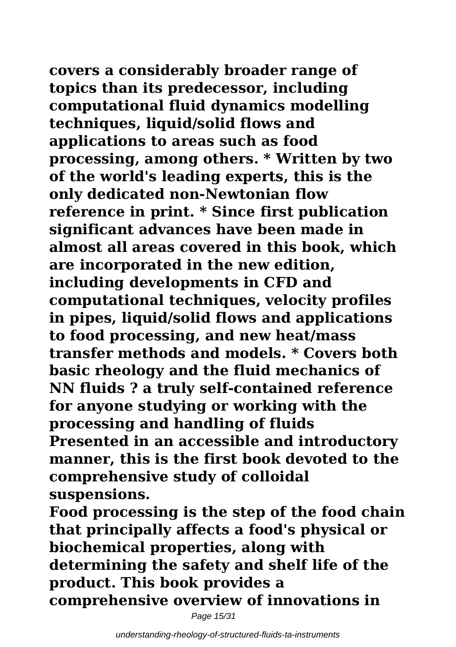**covers a considerably broader range of topics than its predecessor, including computational fluid dynamics modelling techniques, liquid/solid flows and applications to areas such as food processing, among others. \* Written by two of the world's leading experts, this is the only dedicated non-Newtonian flow reference in print. \* Since first publication**

**significant advances have been made in almost all areas covered in this book, which are incorporated in the new edition, including developments in CFD and computational techniques, velocity profiles in pipes, liquid/solid flows and applications to food processing, and new heat/mass transfer methods and models. \* Covers both basic rheology and the fluid mechanics of NN fluids ? a truly self-contained reference for anyone studying or working with the processing and handling of fluids Presented in an accessible and introductory manner, this is the first book devoted to the comprehensive study of colloidal suspensions.**

**Food processing is the step of the food chain that principally affects a food's physical or biochemical properties, along with determining the safety and shelf life of the product. This book provides a comprehensive overview of innovations in**

Page 15/31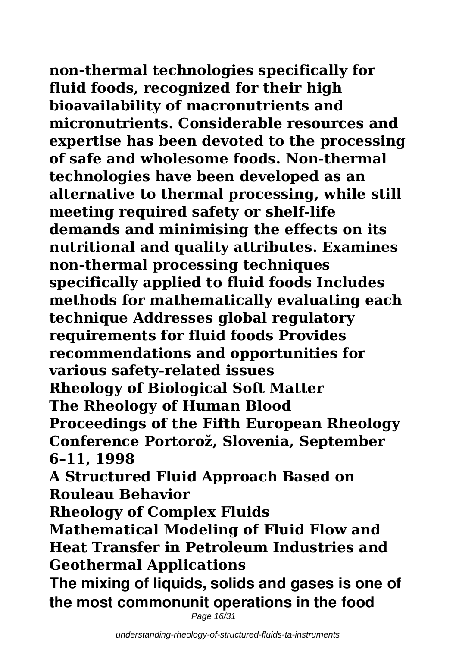**non-thermal technologies specifically for**

**fluid foods, recognized for their high bioavailability of macronutrients and micronutrients. Considerable resources and expertise has been devoted to the processing of safe and wholesome foods. Non-thermal technologies have been developed as an alternative to thermal processing, while still meeting required safety or shelf-life demands and minimising the effects on its nutritional and quality attributes. Examines non-thermal processing techniques specifically applied to fluid foods Includes methods for mathematically evaluating each technique Addresses global regulatory requirements for fluid foods Provides recommendations and opportunities for various safety-related issues Rheology of Biological Soft Matter The Rheology of Human Blood Proceedings of the Fifth European Rheology Conference Portorož, Slovenia, September 6–11, 1998 A Structured Fluid Approach Based on**

**Rouleau Behavior**

**Rheology of Complex Fluids**

**Mathematical Modeling of Fluid Flow and Heat Transfer in Petroleum Industries and Geothermal Applications**

**The mixing of liquids, solids and gases is one of the most commonunit operations in the food**

Page 16/31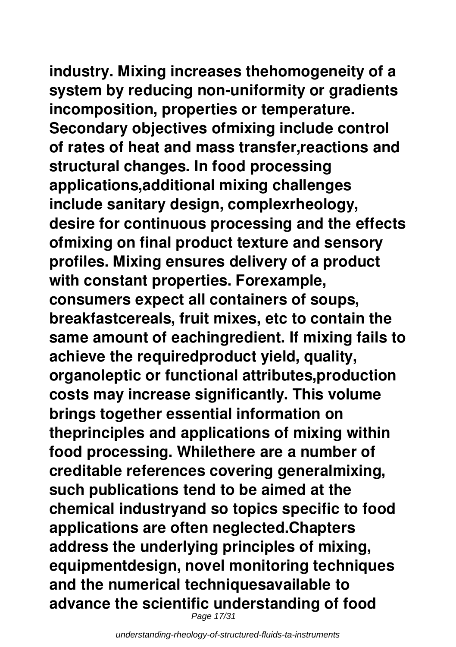# **industry. Mixing increases thehomogeneity of a**

**system by reducing non-uniformity or gradients incomposition, properties or temperature. Secondary objectives ofmixing include control of rates of heat and mass transfer,reactions and structural changes. In food processing applications,additional mixing challenges include sanitary design, complexrheology, desire for continuous processing and the effects ofmixing on final product texture and sensory profiles. Mixing ensures delivery of a product with constant properties. Forexample, consumers expect all containers of soups, breakfastcereals, fruit mixes, etc to contain the same amount of eachingredient. If mixing fails to achieve the requiredproduct yield, quality, organoleptic or functional attributes,production costs may increase significantly. This volume brings together essential information on theprinciples and applications of mixing within food processing. Whilethere are a number of creditable references covering generalmixing, such publications tend to be aimed at the chemical industryand so topics specific to food applications are often neglected.Chapters address the underlying principles of mixing, equipmentdesign, novel monitoring techniques and the numerical techniquesavailable to advance the scientific understanding of food** Page 17/31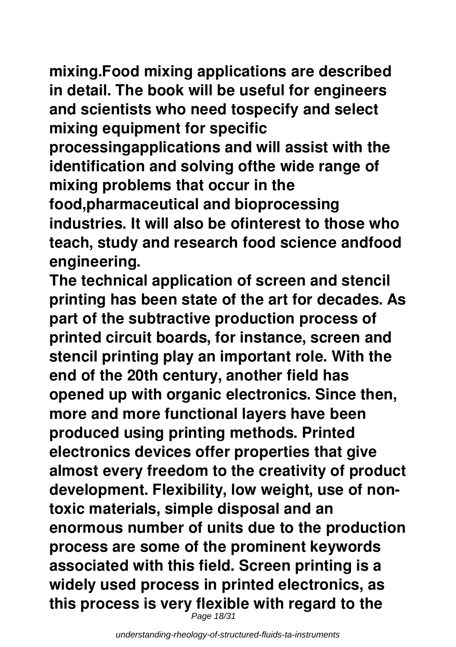**mixing.Food mixing applications are described in detail. The book will be useful for engineers and scientists who need tospecify and select mixing equipment for specific**

**processingapplications and will assist with the identification and solving ofthe wide range of mixing problems that occur in the**

**food,pharmaceutical and bioprocessing industries. It will also be ofinterest to those who teach, study and research food science andfood engineering.**

**The technical application of screen and stencil printing has been state of the art for decades. As part of the subtractive production process of printed circuit boards, for instance, screen and stencil printing play an important role. With the end of the 20th century, another field has opened up with organic electronics. Since then, more and more functional layers have been produced using printing methods. Printed electronics devices offer properties that give almost every freedom to the creativity of product development. Flexibility, low weight, use of nontoxic materials, simple disposal and an enormous number of units due to the production process are some of the prominent keywords associated with this field. Screen printing is a widely used process in printed electronics, as this process is very flexible with regard to the**

Page 18/31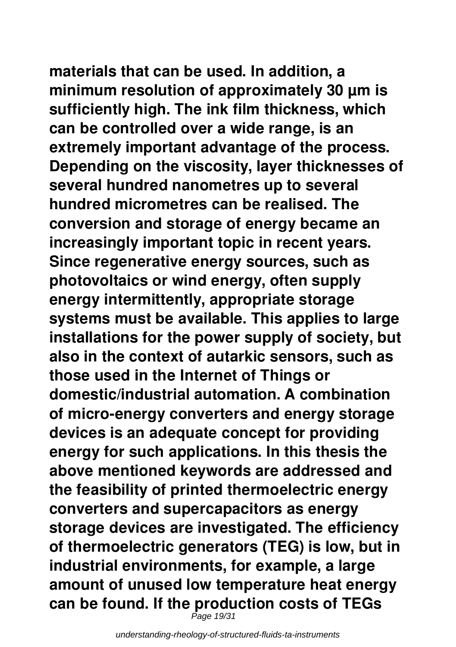# **materials that can be used. In addition, a**

**minimum resolution of approximately 30 µm is sufficiently high. The ink film thickness, which can be controlled over a wide range, is an extremely important advantage of the process. Depending on the viscosity, layer thicknesses of several hundred nanometres up to several hundred micrometres can be realised. The conversion and storage of energy became an increasingly important topic in recent years. Since regenerative energy sources, such as photovoltaics or wind energy, often supply energy intermittently, appropriate storage systems must be available. This applies to large installations for the power supply of society, but also in the context of autarkic sensors, such as those used in the Internet of Things or domestic/industrial automation. A combination of micro-energy converters and energy storage devices is an adequate concept for providing energy for such applications. In this thesis the above mentioned keywords are addressed and the feasibility of printed thermoelectric energy converters and supercapacitors as energy storage devices are investigated. The efficiency of thermoelectric generators (TEG) is low, but in industrial environments, for example, a large amount of unused low temperature heat energy can be found. If the production costs of TEGs**

Page 19/31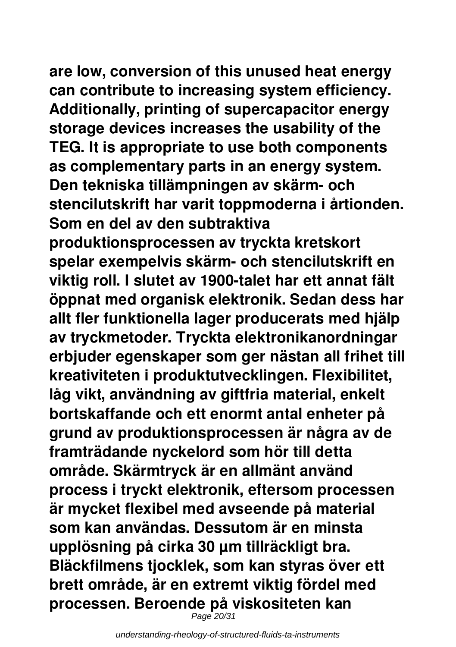**are low, conversion of this unused heat energy**

**can contribute to increasing system efficiency. Additionally, printing of supercapacitor energy storage devices increases the usability of the TEG. It is appropriate to use both components as complementary parts in an energy system. Den tekniska tillämpningen av skärm- och stencilutskrift har varit toppmoderna i årtionden. Som en del av den subtraktiva produktionsprocessen av tryckta kretskort spelar exempelvis skärm- och stencilutskrift en viktig roll. I slutet av 1900-talet har ett annat fält öppnat med organisk elektronik. Sedan dess har allt fler funktionella lager producerats med hjälp av tryckmetoder. Tryckta elektronikanordningar erbjuder egenskaper som ger nästan all frihet till kreativiteten i produktutvecklingen. Flexibilitet, låg vikt, användning av giftfria material, enkelt bortskaffande och ett enormt antal enheter på grund av produktionsprocessen är några av de framträdande nyckelord som hör till detta område. Skärmtryck är en allmänt använd process i tryckt elektronik, eftersom processen är mycket flexibel med avseende på material som kan användas. Dessutom är en minsta upplösning på cirka 30 µm tillräckligt bra. Bläckfilmens tjocklek, som kan styras över ett brett område, är en extremt viktig fördel med processen. Beroende på viskositeten kan**

Page 20/31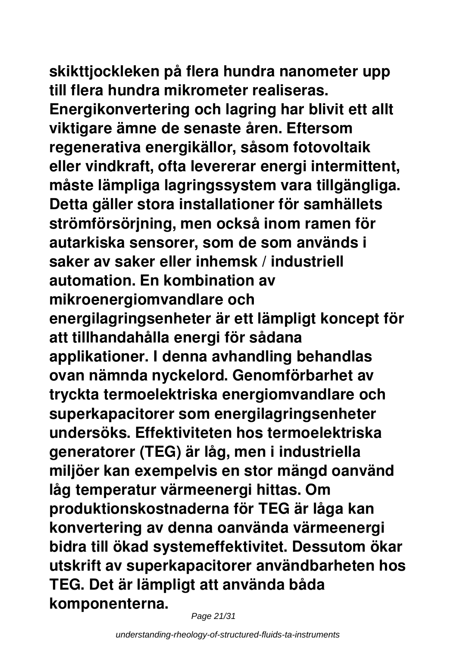**skikttjockleken på flera hundra nanometer upp till flera hundra mikrometer realiseras.**

**Energikonvertering och lagring har blivit ett allt viktigare ämne de senaste åren. Eftersom regenerativa energikällor, såsom fotovoltaik eller vindkraft, ofta levererar energi intermittent, måste lämpliga lagringssystem vara tillgängliga. Detta gäller stora installationer för samhällets strömförsörjning, men också inom ramen för autarkiska sensorer, som de som används i saker av saker eller inhemsk / industriell automation. En kombination av mikroenergiomvandlare och energilagringsenheter är ett lämpligt koncept för att tillhandahålla energi för sådana applikationer. I denna avhandling behandlas ovan nämnda nyckelord. Genomförbarhet av tryckta termoelektriska energiomvandlare och superkapacitorer som energilagringsenheter undersöks. Effektiviteten hos termoelektriska generatorer (TEG) är låg, men i industriella miljöer kan exempelvis en stor mängd oanvänd låg temperatur värmeenergi hittas. Om produktionskostnaderna för TEG är låga kan konvertering av denna oanvända värmeenergi bidra till ökad systemeffektivitet. Dessutom ökar utskrift av superkapacitorer användbarheten hos TEG. Det är lämpligt att använda båda komponenterna.**

Page 21/31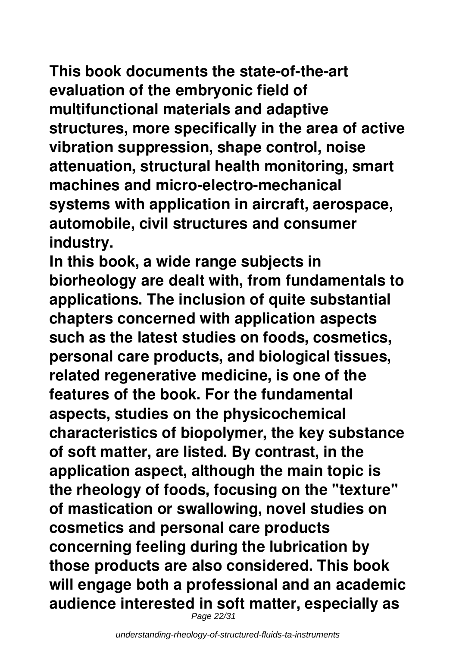**This book documents the state-of-the-art evaluation of the embryonic field of multifunctional materials and adaptive structures, more specifically in the area of active vibration suppression, shape control, noise attenuation, structural health monitoring, smart machines and micro-electro-mechanical systems with application in aircraft, aerospace, automobile, civil structures and consumer industry.**

**In this book, a wide range subjects in biorheology are dealt with, from fundamentals to applications. The inclusion of quite substantial chapters concerned with application aspects such as the latest studies on foods, cosmetics, personal care products, and biological tissues, related regenerative medicine, is one of the features of the book. For the fundamental aspects, studies on the physicochemical characteristics of biopolymer, the key substance of soft matter, are listed. By contrast, in the application aspect, although the main topic is the rheology of foods, focusing on the "texture" of mastication or swallowing, novel studies on cosmetics and personal care products concerning feeling during the lubrication by those products are also considered. This book will engage both a professional and an academic audience interested in soft matter, especially as** Page 22/31

understanding-rheology-of-structured-fluids-ta-instruments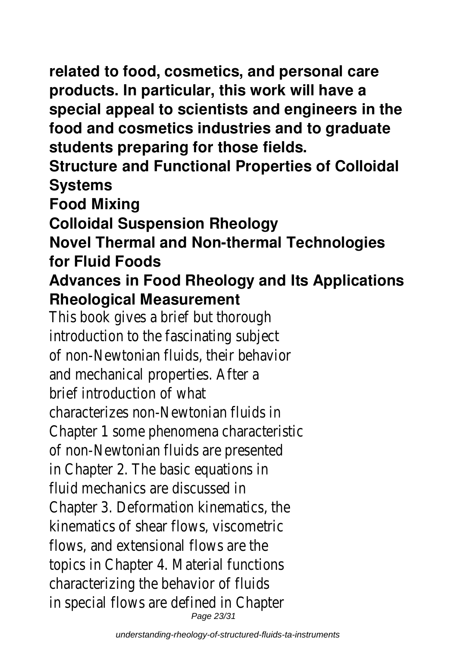**related to food, cosmetics, and personal care products. In particular, this work will have a special appeal to scientists and engineers in the food and cosmetics industries and to graduate students preparing for those fields.**

**Structure and Functional Properties of Colloidal Systems**

**Food Mixing**

**Colloidal Suspension Rheology**

**Novel Thermal and Non-thermal Technologies for Fluid Foods**

### **Advances in Food Rheology and Its Applications Rheological Measurement**

This book gives a brief but thorough introduction to the fascinating subject of non-Newtonian fluids, their behavior and mechanical properties. After a brief introduction of what characterizes non-Newtonian fluids in Chapter 1 some phenomena characteristic of non-Newtonian fluids are presented in Chapter 2. The basic equations in fluid mechanics are discussed in Chapter 3. Deformation kinematics, the kinematics of shear flows, viscometric flows, and extensional flows are the topics in Chapter 4. Material functions characterizing the behavior of fluids in special flows are defined in Chapter Page 23/31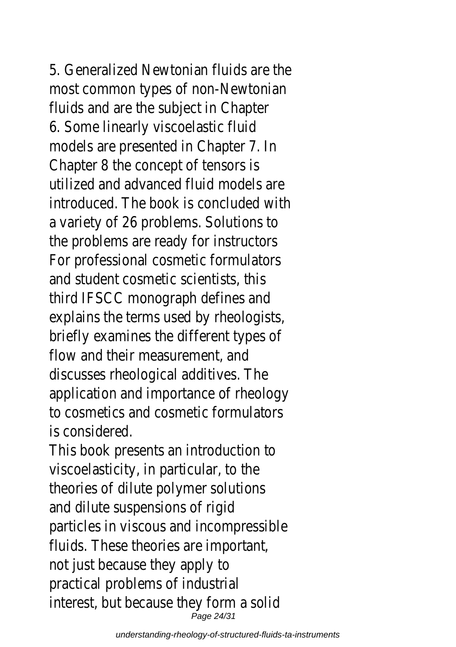5. Generalized Newtonian fluids are the most common types of non-Newtonian fluids and are the subject in Chapter 6. Some linearly viscoelastic fluid models are presented in Chapter 7. In Chapter 8 the concept of tensors is utilized and advanced fluid models are introduced. The book is concluded with a variety of 26 problems. Solutions to the problems are ready for instructors For professional cosmetic formulators and student cosmetic scientists, this third IFSCC monograph defines and explains the terms used by rheologists, briefly examines the different types of flow and their measurement, and discusses rheological additives. The application and importance of rheology to cosmetics and cosmetic formulators is considered.

This book presents an introduction to viscoelasticity, in particular, to the theories of dilute polymer solutions and dilute suspensions of rigid particles in viscous and incompressible fluids. These theories are important, not just because they apply to practical problems of industrial interest, but because they form a solid Page 24/31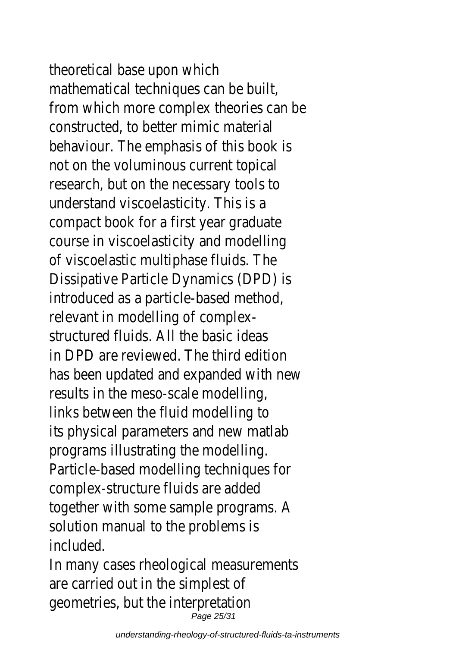theoretical base upon which mathematical techniques can be built, from which more complex theories can be constructed, to better mimic material behaviour. The emphasis of this book is not on the voluminous current topical research, but on the necessary tools to understand viscoelasticity. This is a compact book for a first year graduate course in viscoelasticity and modelling of viscoelastic multiphase fluids. The Dissipative Particle Dynamics (DPD) is introduced as a particle-based method, relevant in modelling of complexstructured fluids. All the basic ideas in DPD are reviewed. The third edition has been updated and expanded with new results in the meso-scale modelling, links between the fluid modelling to its physical parameters and new matlab programs illustrating the modelling. Particle-based modelling techniques for complex-structure fluids are added together with some sample programs. A solution manual to the problems is included. In many cases rheological measurements are carried out in the simplest of

geometries, but the interpretation Page 25/31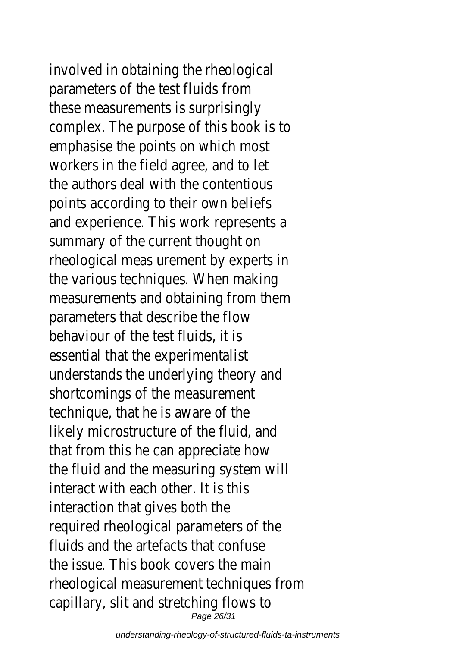involved in obtaining the rheological parameters of the test fluids from these measurements is surprisingly complex. The purpose of this book is to emphasise the points on which most workers in the field agree, and to let the authors deal with the contentious points according to their own beliefs and experience. This work represents a summary of the current thought on rheological meas urement by experts in the various techniques. When making measurements and obtaining from them parameters that describe the flow behaviour of the test fluids, it is essential that the experimentalist understands the underlying theory and shortcomings of the measurement technique, that he is aware of the likely microstructure of the fluid, and that from this he can appreciate how the fluid and the measuring system will interact with each other. It is this interaction that gives both the required rheological parameters of the fluids and the artefacts that confuse the issue. This book covers the main rheological measurement techniques from capillary, slit and stretching flows to Page 26/31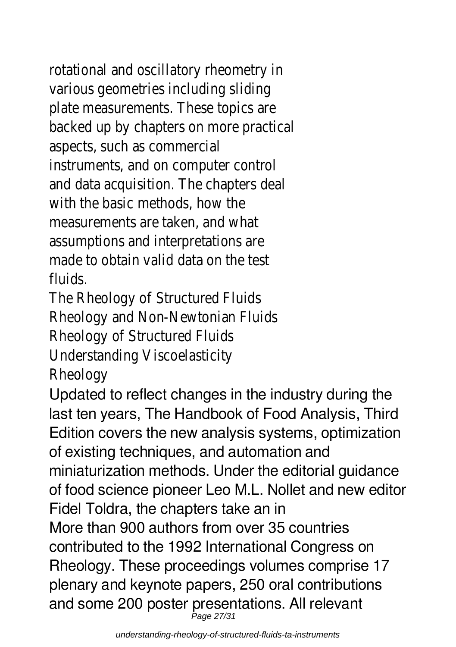rotational and oscillatory rheometry in various geometries including sliding plate measurements. These topics are backed up by chapters on more practical aspects, such as commercial instruments, and on computer control and data acquisition. The chapters deal with the basic methods, how the measurements are taken, and what assumptions and interpretations are made to obtain valid data on the test fluids.

The Rheology of Structured Fluids Rheology and Non-Newtonian Fluids Rheology of Structured Fluids Understanding Viscoelasticity Rheology

Updated to reflect changes in the industry during the last ten years, The Handbook of Food Analysis, Third Edition covers the new analysis systems, optimization of existing techniques, and automation and miniaturization methods. Under the editorial guidance of food science pioneer Leo M.L. Nollet and new editor Fidel Toldra, the chapters take an in More than 900 authors from over 35 countries contributed to the 1992 International Congress on Rheology. These proceedings volumes comprise 17 plenary and keynote papers, 250 oral contributions and some 200 poster presentations. All relevant Page 27/31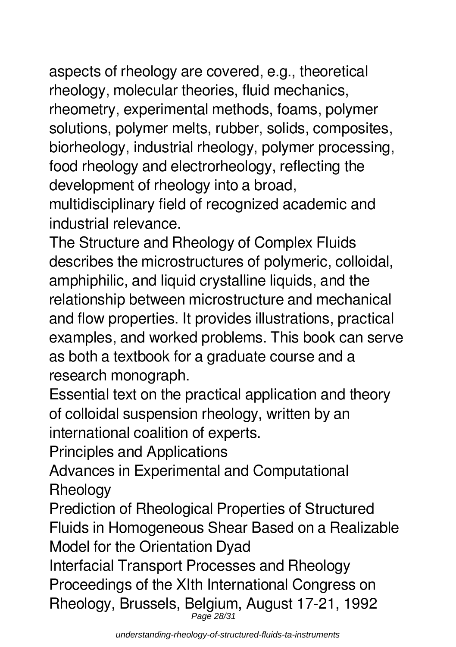aspects of rheology are covered, e.g., theoretical rheology, molecular theories, fluid mechanics, rheometry, experimental methods, foams, polymer solutions, polymer melts, rubber, solids, composites, biorheology, industrial rheology, polymer processing, food rheology and electrorheology, reflecting the development of rheology into a broad, multidisciplinary field of recognized academic and industrial relevance.

The Structure and Rheology of Complex Fluids describes the microstructures of polymeric, colloidal, amphiphilic, and liquid crystalline liquids, and the relationship between microstructure and mechanical and flow properties. It provides illustrations, practical examples, and worked problems. This book can serve as both a textbook for a graduate course and a research monograph.

Essential text on the practical application and theory of colloidal suspension rheology, written by an international coalition of experts.

Principles and Applications

Advances in Experimental and Computational **Rheology** 

Prediction of Rheological Properties of Structured Fluids in Homogeneous Shear Based on a Realizable Model for the Orientation Dyad

Interfacial Transport Processes and Rheology Proceedings of the XIth International Congress on Rheology, Brussels, Belgium, August 17-21, 1992 Page 28/31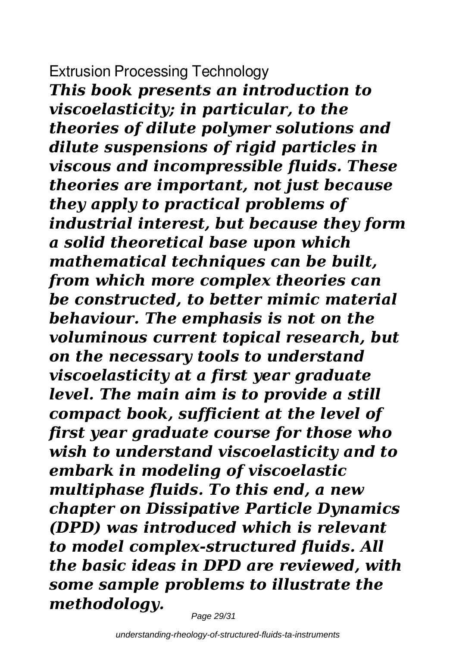### Extrusion Processing Technology

*This book presents an introduction to viscoelasticity; in particular, to the theories of dilute polymer solutions and dilute suspensions of rigid particles in viscous and incompressible fluids. These theories are important, not just because they apply to practical problems of industrial interest, but because they form a solid theoretical base upon which mathematical techniques can be built, from which more complex theories can be constructed, to better mimic material behaviour. The emphasis is not on the voluminous current topical research, but on the necessary tools to understand viscoelasticity at a first year graduate level. The main aim is to provide a still compact book, sufficient at the level of first year graduate course for those who wish to understand viscoelasticity and to embark in modeling of viscoelastic multiphase fluids. To this end, a new chapter on Dissipative Particle Dynamics (DPD) was introduced which is relevant to model complex-structured fluids. All the basic ideas in DPD are reviewed, with some sample problems to illustrate the methodology.*

Page 29/31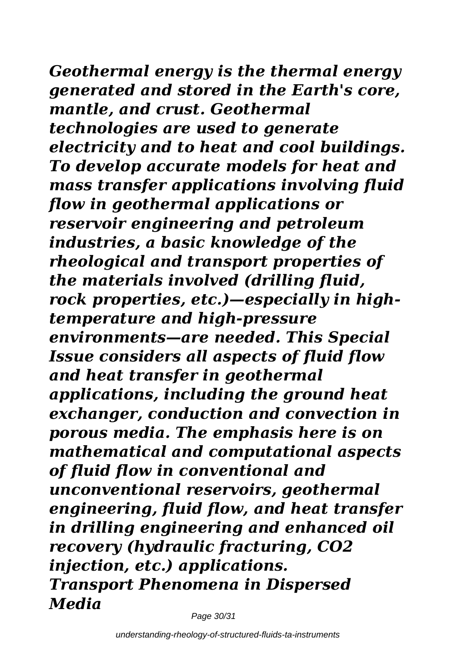*Geothermal energy is the thermal energy generated and stored in the Earth's core, mantle, and crust. Geothermal technologies are used to generate electricity and to heat and cool buildings. To develop accurate models for heat and mass transfer applications involving fluid flow in geothermal applications or reservoir engineering and petroleum industries, a basic knowledge of the*

*rheological and transport properties of the materials involved (drilling fluid, rock properties, etc.)—especially in hightemperature and high-pressure environments—are needed. This Special Issue considers all aspects of fluid flow and heat transfer in geothermal applications, including the ground heat exchanger, conduction and convection in porous media. The emphasis here is on mathematical and computational aspects*

*of fluid flow in conventional and unconventional reservoirs, geothermal engineering, fluid flow, and heat transfer in drilling engineering and enhanced oil recovery (hydraulic fracturing, CO2 injection, etc.) applications. Transport Phenomena in Dispersed Media*

Page 30/31